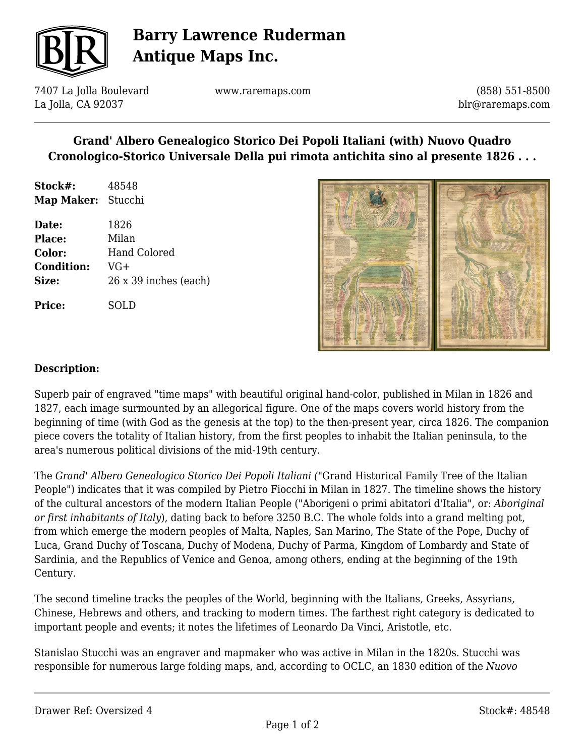

# **Barry Lawrence Ruderman Antique Maps Inc.**

7407 La Jolla Boulevard La Jolla, CA 92037

www.raremaps.com

(858) 551-8500 blr@raremaps.com

### **Grand' Albero Genealogico Storico Dei Popoli Italiani (with) Nuovo Quadro Cronologico-Storico Universale Della pui rimota antichita sino al presente 1826 . . .**

| Stock#:    | 48548   |
|------------|---------|
| Map Maker: | Stucchi |

| Date:             | 1826                  |
|-------------------|-----------------------|
| <b>Place:</b>     | Milan                 |
| Color:            | <b>Hand Colored</b>   |
| <b>Condition:</b> | VG+                   |
| Size:             | 26 x 39 inches (each) |
|                   |                       |

**Price:** SOLD



#### **Description:**

Superb pair of engraved "time maps" with beautiful original hand-color, published in Milan in 1826 and 1827, each image surmounted by an allegorical figure. One of the maps covers world history from the beginning of time (with God as the genesis at the top) to the then-present year, circa 1826. The companion piece covers the totality of Italian history, from the first peoples to inhabit the Italian peninsula, to the area's numerous political divisions of the mid-19th century.

The *Grand' Albero Genealogico Storico Dei Popoli Italiani (*"Grand Historical Family Tree of the Italian People") indicates that it was compiled by Pietro Fiocchi in Milan in 1827. The timeline shows the history of the cultural ancestors of the modern Italian People ("Aborigeni o primi abitatori d'Italia", or: *Aboriginal or first inhabitants of Italy*), dating back to before 3250 B.C. The whole folds into a grand melting pot, from which emerge the modern peoples of Malta, Naples, San Marino, The State of the Pope, Duchy of Luca, Grand Duchy of Toscana, Duchy of Modena, Duchy of Parma, Kingdom of Lombardy and State of Sardinia, and the Republics of Venice and Genoa, among others, ending at the beginning of the 19th Century.

The second timeline tracks the peoples of the World, beginning with the Italians, Greeks, Assyrians, Chinese, Hebrews and others, and tracking to modern times. The farthest right category is dedicated to important people and events; it notes the lifetimes of Leonardo Da Vinci, Aristotle, etc.

Stanislao Stucchi was an engraver and mapmaker who was active in Milan in the 1820s. Stucchi was responsible for numerous large folding maps, and, according to OCLC, an 1830 edition of the *Nuovo*